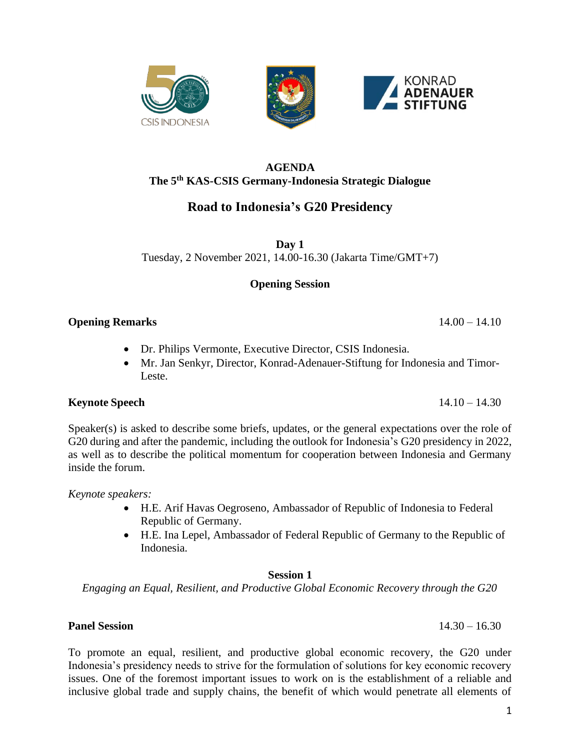#### **AGENDA The 5th KAS-CSIS Germany-Indonesia Strategic Dialogue**

# **Road to Indonesia's G20 Presidency**

**Day 1** Tuesday, 2 November 2021, 14.00-16.30 (Jakarta Time/GMT+7)

## **Opening Session**

## **Opening Remarks** 14.00 – 14.10

- Dr. Philips Vermonte, Executive Director, CSIS Indonesia.
- Mr. Jan Senkyr, Director, Konrad-Adenauer-Stiftung for Indonesia and Timor-Leste.

# **Keynote Speech** 14.10 – 14.30

Speaker(s) is asked to describe some briefs, updates, or the general expectations over the role of G20 during and after the pandemic, including the outlook for Indonesia's G20 presidency in 2022, as well as to describe the political momentum for cooperation between Indonesia and Germany inside the forum.

*Keynote speakers:*

- H.E. Arif Havas Oegroseno, Ambassador of Republic of Indonesia to Federal Republic of Germany.
- H.E. Ina Lepel, Ambassador of Federal Republic of Germany to the Republic of Indonesia.

## **Session 1**

*Engaging an Equal, Resilient, and Productive Global Economic Recovery through the G20*

## **Panel Session** 14.30 – 16.30

#### To promote an equal, resilient, and productive global economic recovery, the G20 under Indonesia's presidency needs to strive for the formulation of solutions for key economic recovery issues. One of the foremost important issues to work on is the establishment of a reliable and inclusive global trade and supply chains, the benefit of which would penetrate all elements of



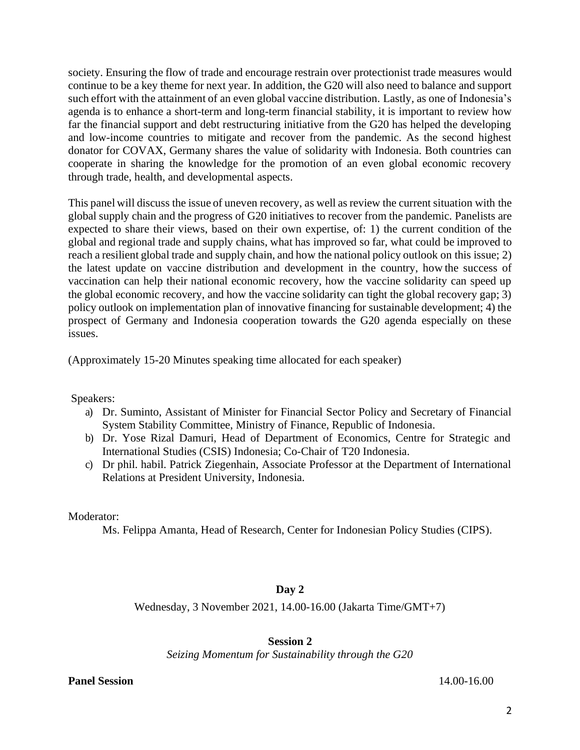society. Ensuring the flow of trade and encourage restrain over protectionist trade measures would continue to be a key theme for next year. In addition, the G20 will also need to balance and support such effort with the attainment of an even global vaccine distribution. Lastly, as one of Indonesia's agenda is to enhance a short-term and long-term financial stability, it is important to review how far the financial support and debt restructuring initiative from the G20 has helped the developing and low-income countries to mitigate and recover from the pandemic. As the second highest donator for COVAX, Germany shares the value of solidarity with Indonesia. Both countries can cooperate in sharing the knowledge for the promotion of an even global economic recovery through trade, health, and developmental aspects.

This panel will discuss the issue of uneven recovery, as well as review the current situation with the global supply chain and the progress of G20 initiatives to recover from the pandemic. Panelists are expected to share their views, based on their own expertise, of: 1) the current condition of the global and regional trade and supply chains, what has improved so far, what could be improved to reach a resilient global trade and supply chain, and how the national policy outlook on this issue; 2) the latest update on vaccine distribution and development in the country, how the success of vaccination can help their national economic recovery, how the vaccine solidarity can speed up the global economic recovery, and how the vaccine solidarity can tight the global recovery gap; 3) policy outlook on implementation plan of innovative financing for sustainable development; 4) the prospect of Germany and Indonesia cooperation towards the G20 agenda especially on these issues.

(Approximately 15-20 Minutes speaking time allocated for each speaker)

Speakers:

- a) Dr. Suminto, Assistant of Minister for Financial Sector Policy and Secretary of Financial System Stability Committee, Ministry of Finance, Republic of Indonesia.
- b) Dr. Yose Rizal Damuri, Head of Department of Economics, Centre for Strategic and International Studies (CSIS) Indonesia; Co-Chair of T20 Indonesia.
- c) Dr phil. habil. Patrick Ziegenhain, Associate Professor at the Department of International Relations at President University, Indonesia.

Moderator:

Ms. Felippa Amanta, Head of Research, Center for Indonesian Policy Studies (CIPS).

### **Day 2**

Wednesday, 3 November 2021, 14.00-16.00 (Jakarta Time/GMT+7)

### **Session 2**

*Seizing Momentum for Sustainability through the G20*

**Panel Session** 14.00-16.00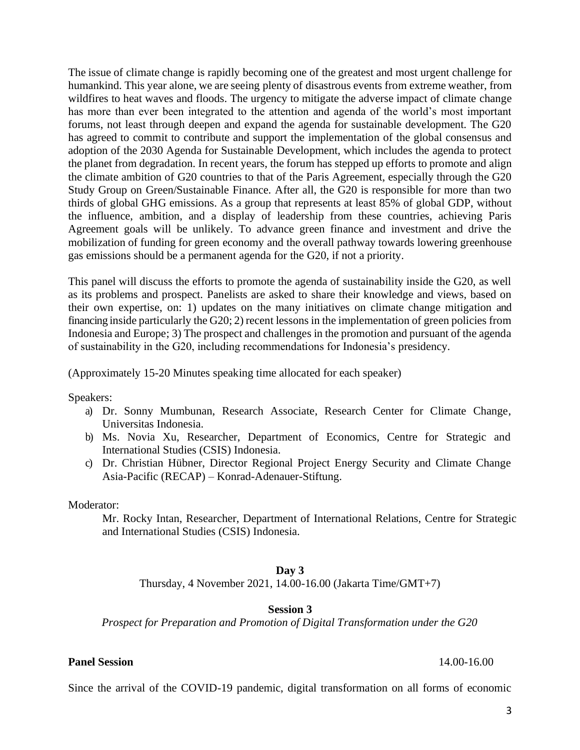The issue of climate change is rapidly becoming one of the greatest and most urgent challenge for humankind. This year alone, we are seeing plenty of disastrous events from extreme weather, from wildfires to heat waves and floods. The urgency to mitigate the adverse impact of climate change has more than ever been integrated to the attention and agenda of the world's most important forums, not least through deepen and expand the agenda for sustainable development. The G20 has agreed to commit to contribute and support the implementation of the global consensus and adoption of the 2030 Agenda for Sustainable Development, which includes the agenda to protect the planet from degradation. In recent years, the forum has stepped up efforts to promote and align the climate ambition of G20 countries to that of the Paris Agreement, especially through the G20 Study Group on Green/Sustainable Finance. After all, the G20 is responsible for more than two thirds of global GHG emissions. As a group that represents at least 85% of global GDP, without the influence, ambition, and a display of leadership from these countries, achieving Paris Agreement goals will be unlikely. To advance green finance and investment and drive the mobilization of funding for green economy and the overall pathway towards lowering greenhouse gas emissions should be a permanent agenda for the G20, if not a priority.

This panel will discuss the efforts to promote the agenda of sustainability inside the G20, as well as its problems and prospect. Panelists are asked to share their knowledge and views, based on their own expertise, on: 1) updates on the many initiatives on climate change mitigation and financing inside particularly the G20; 2) recent lessons in the implementation of green policies from Indonesia and Europe; 3) The prospect and challenges in the promotion and pursuant of the agenda of sustainability in the G20, including recommendations for Indonesia's presidency.

(Approximately 15-20 Minutes speaking time allocated for each speaker)

Speakers:

- a) Dr. Sonny Mumbunan, Research Associate, Research Center for Climate Change, Universitas Indonesia.
- b) Ms. Novia Xu, Researcher, Department of Economics, Centre for Strategic and International Studies (CSIS) Indonesia.
- c) Dr. Christian Hübner, Director Regional Project Energy Security and Climate Change Asia-Pacific (RECAP) – Konrad-Adenauer-Stiftung.

Moderator:

Mr. Rocky Intan, Researcher, Department of International Relations, Centre for Strategic and International Studies (CSIS) Indonesia.

#### **Day 3**

Thursday, 4 November 2021, 14.00-16.00 (Jakarta Time/GMT+7)

#### **Session 3**

*Prospect for Preparation and Promotion of Digital Transformation under the G20*

**Panel Session** 14.00-16.00

Since the arrival of the COVID-19 pandemic, digital transformation on all forms of economic